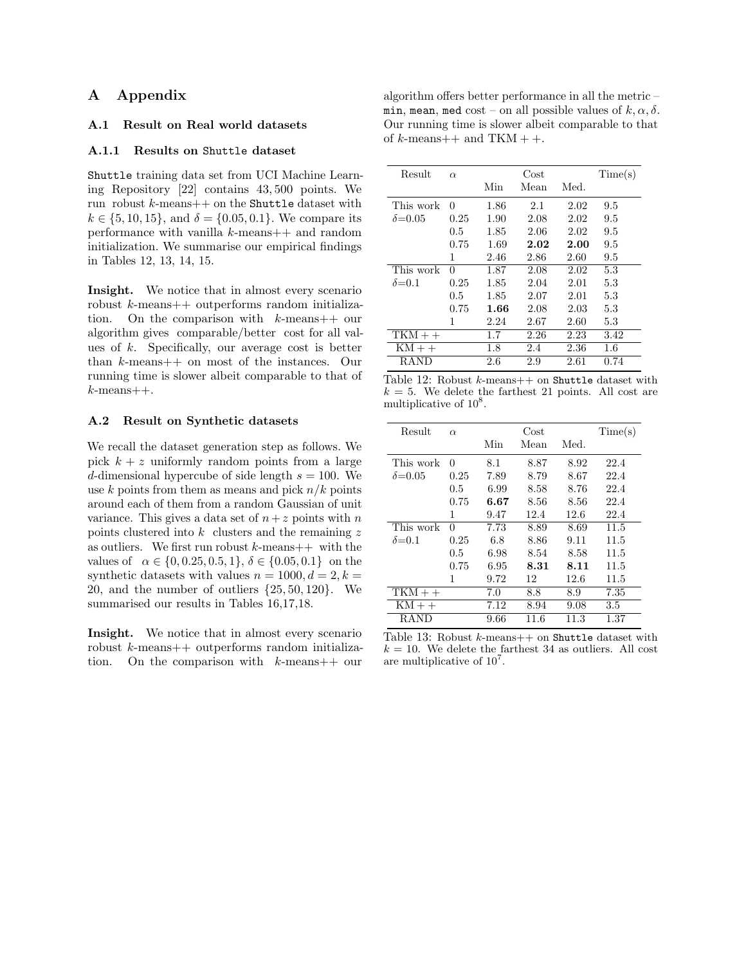## A Appendix

## A.1 Result on Real world datasets

## A.1.1 Results on Shuttle dataset

Shuttle training data set from UCI Machine Learning Repository [22] contains 43, 500 points. We run robust  $k$ -means $++$  on the Shuttle dataset with  $k \in \{5, 10, 15\}$ , and  $\delta = \{0.05, 0.1\}$ . We compare its performance with vanilla k-means++ and random initialization. We summarise our empirical findings in Tables 12, 13, 14, 15.

Insight. We notice that in almost every scenario robust k-means++ outperforms random initialization. On the comparison with k-means++ our algorithm gives comparable/better cost for all values of  $k$ . Specifically, our average cost is better than k-means++ on most of the instances. Our running time is slower albeit comparable to that of  $k$ -means++.

## A.2 Result on Synthetic datasets

We recall the dataset generation step as follows. We pick  $k + z$  uniformly random points from a large d-dimensional hypercube of side length  $s = 100$ . We use k points from them as means and pick  $n/k$  points around each of them from a random Gaussian of unit variance. This gives a data set of  $n + z$  points with n points clustered into  $k$  clusters and the remaining  $z$ as outliers. We first run robust  $k$ -means++ with the values of  $\alpha \in \{0, 0.25, 0.5, 1\}, \delta \in \{0.05, 0.1\}$  on the synthetic datasets with values  $n = 1000, d = 2, k =$ 20, and the number of outliers  $\{25, 50, 120\}$ . We summarised our results in Tables 16,17,18.

Insight. We notice that in almost every scenario robust k-means++ outperforms random initialization. On the comparison with  $k$ -means++ our

algorithm offers better performance in all the metric – min, mean, med cost – on all possible values of  $k, \alpha, \delta$ . Our running time is slower albeit comparable to that of  $k$ -means++ and TKM + +.

| Result          | $\alpha$ |      | Cost |      | Time(s) |
|-----------------|----------|------|------|------|---------|
|                 |          | Min  | Mean | Med. |         |
| This work       | 0        | 1.86 | 2.1  | 2.02 | 9.5     |
| $\delta = 0.05$ | 0.25     | 1.90 | 2.08 | 2.02 | 9.5     |
|                 | 0.5      | 1.85 | 2.06 | 2.02 | 9.5     |
|                 | 0.75     | 1.69 | 2.02 | 2.00 | 9.5     |
|                 | 1        | 2.46 | 2.86 | 2.60 | 9.5     |
| This work       | 0        | 1.87 | 2.08 | 2.02 | 5.3     |
| $\delta = 0.1$  | 0.25     | 1.85 | 2.04 | 2.01 | 5.3     |
|                 | 0.5      | 1.85 | 2.07 | 2.01 | 5.3     |
|                 | 0.75     | 1.66 | 2.08 | 2.03 | 5.3     |
|                 | 1        | 2.24 | 2.67 | 2.60 | 5.3     |
| $TKM++$         |          | 1.7  | 2.26 | 2.23 | 3.42    |
| $KM++$          |          | 1.8  | 2.4  | 2.36 | $1.6\,$ |
| RAND            |          | 2.6  | 2.9  | 2.61 | 0.74    |

|                                     |  | Table 12: Robust $k$ -means++ on Shuttle dataset with  |  |  |  |
|-------------------------------------|--|--------------------------------------------------------|--|--|--|
|                                     |  | $k=5$ . We delete the farthest 21 points. All cost are |  |  |  |
| multiplicative of 10 <sup>8</sup> . |  |                                                        |  |  |  |

| Result                      | $\alpha$ |      | Cost |      | Time(s) |
|-----------------------------|----------|------|------|------|---------|
|                             |          | Min  | Mean | Med. |         |
| This work                   | 0        | 8.1  | 8.87 | 8.92 | 22.4    |
| $\delta = 0.05$             | 0.25     | 7.89 | 8.79 | 8.67 | 22.4    |
|                             | 0.5      | 6.99 | 8.58 | 8.76 | 22.4    |
|                             | 0.75     | 6.67 | 8.56 | 8.56 | 22.4    |
|                             | 1        | 9.47 | 12.4 | 12.6 | 22.4    |
| This work                   | 0        | 7.73 | 8.89 | 8.69 | 11.5    |
| $\delta = 0.1$              | 0.25     | 6.8  | 8.86 | 9.11 | 11.5    |
|                             | 0.5      | 6.98 | 8.54 | 8.58 | 11.5    |
|                             | 0.75     | 6.95 | 8.31 | 8.11 | 11.5    |
|                             | 1        | 9.72 | 12   | 12.6 | 11.5    |
| $\overline{\text{TKM}}$ + + |          | 7.0  | 8.8  | 8.9  | 7.35    |
| $KM++$                      |          | 7.12 | 8.94 | 9.08 | 3.5     |
| <b>RAND</b>                 |          | 9.66 | 11.6 | 11.3 | 1.37    |

Table 13: Robust  $k$ -means $++$  on Shuttle dataset with  $k = 10$ . We delete the farthest 34 as outliers. All cost are multiplicative of  $10^7$ .